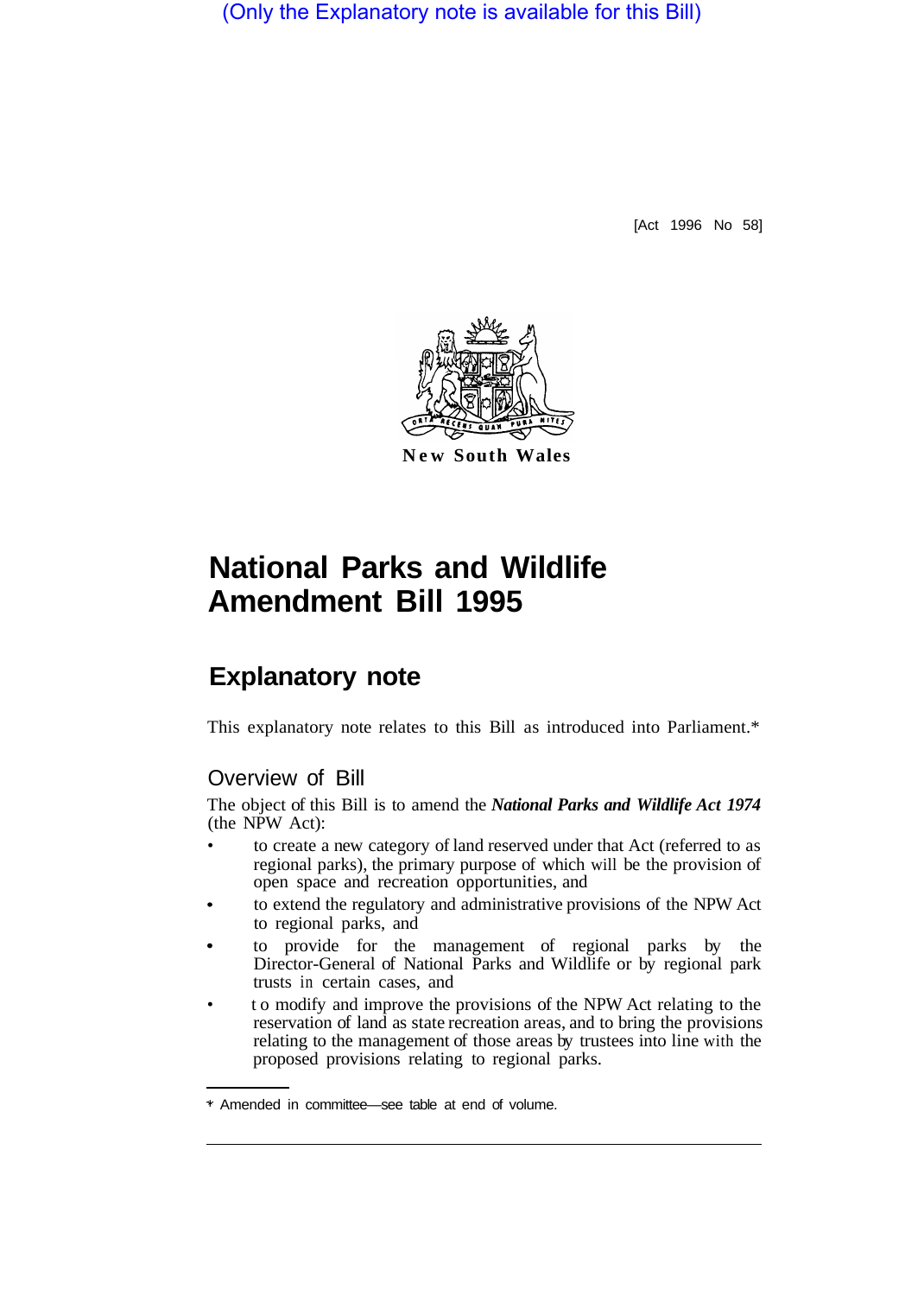(Only the Explanatory note is available for this Bill)

[Act 1996 No 58]



**New South Wales** 

# **National Parks and Wildlife Amendment Bill 1995**

## **Explanatory note**

This explanatory note relates to this Bill as introduced into Parliament.\*

#### Overview of Bill

The object of this Bill is to amend the *National Parks and Wildlife Act 1974*  (the NPW Act):

- to create a new category of land reserved under that Act (referred to as regional parks), the primary purpose of which will be the provision of open space and recreation opportunities, and
- to extend the regulatory and administrative provisions of the NPW Act to regional parks, and
- to provide for the management of regional parks by the Director-General of National Parks and Wildlife or by regional park trusts in certain cases, and
- to modify and improve the provisions of the NPW Act relating to the reservation of land as state recreation areas, and to bring the provisions relating to the management of those areas by trustees into line with the proposed provisions relating to regional parks.

<sup>\*</sup> Amended in committee—see table at end of volume.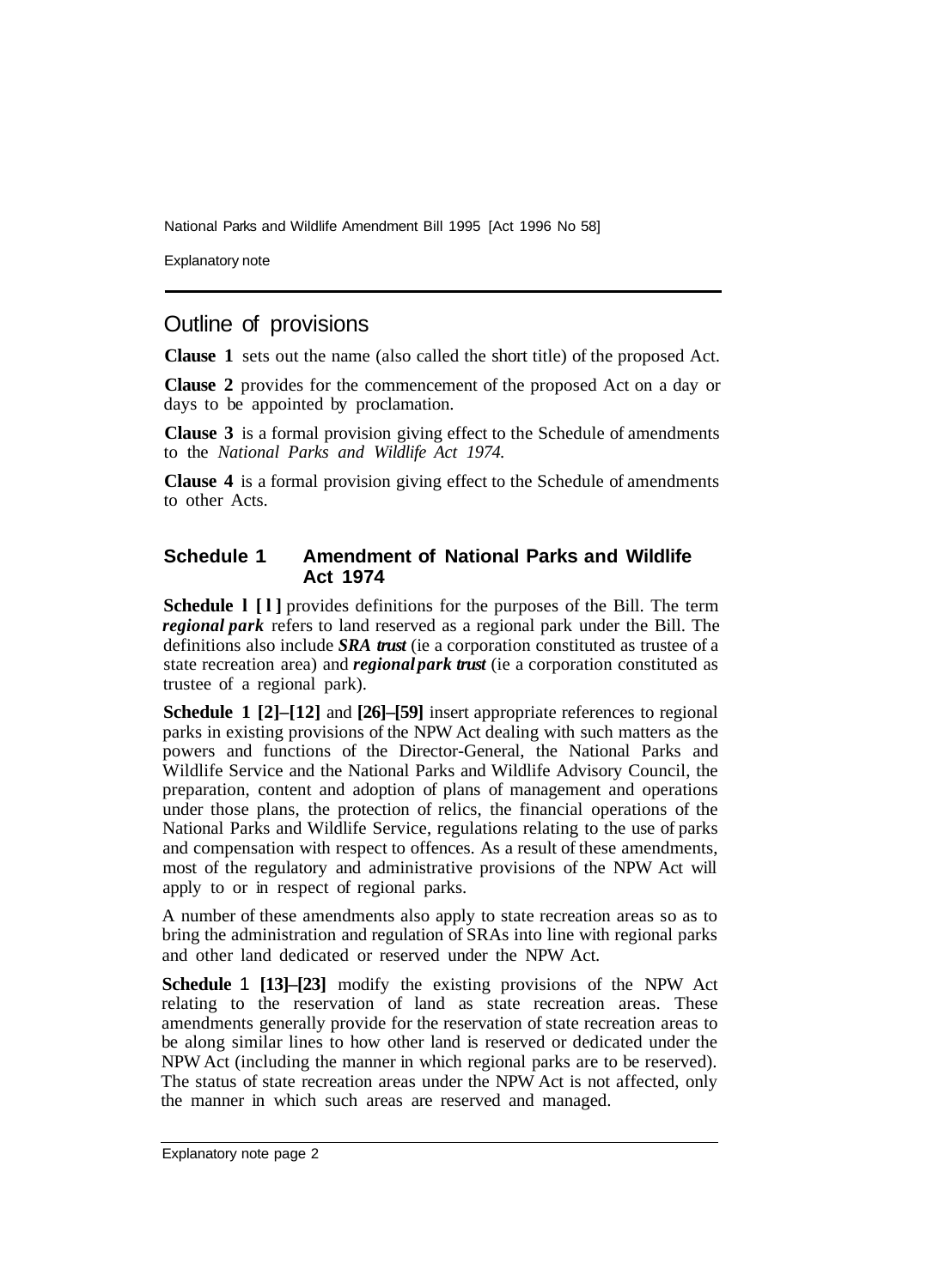National Parks and Wildlife Amendment Bill 1995 [Act 1996 No 58]

Explanatory note

### Outline of provisions

**Clause 1** sets out the name (also called the short title) of the proposed Act.

**Clause 2** provides for the commencement of the proposed Act on a day or days to be appointed by proclamation.

**Clause 3** is a formal provision giving effect to the Schedule of amendments to the *National Parks and Wildlife Act 1974.* 

**Clause 4** is a formal provision giving effect to the Schedule of amendments to other Acts.

#### **Schedule 1 Amendment of National Parks and Wildlife Act 1974**

**Schedule l [l]** provides definitions for the purposes of the Bill. The term *regional park* refers to land reserved as a regional park under the Bill. The definitions also include *SRA trust* (ie a corporation constituted as trustee of a state recreation area) and *regional park trust* (ie a corporation constituted as trustee of a regional park).

**Schedule 1 [2]–[12]** and **[26]–[59]** insert appropriate references to regional parks in existing provisions of the NPW Act dealing with such matters as the powers and functions of the Director-General, the National Parks and Wildlife Service and the National Parks and Wildlife Advisory Council, the preparation, content and adoption of plans of management and operations under those plans, the protection of relics, the financial operations of the National Parks and Wildlife Service, regulations relating to the use of parks and compensation with respect to offences. As a result of these amendments, most of the regulatory and administrative provisions of the NPW Act will apply to or in respect of regional parks.

A number of these amendments also apply to state recreation areas so as to bring the administration and regulation of SRAs into line with regional parks and other land dedicated or reserved under the NPW Act.

**Schedule 1 [13]–[23]** modify the existing provisions of the NPW Act relating to the reservation of land as state recreation areas. These amendments generally provide for the reservation of state recreation areas to be along similar lines to how other land is reserved or dedicated under the NPW Act (including the manner in which regional parks are to be reserved). The status of state recreation areas under the NPW Act is not affected, only the manner in which such areas are reserved and managed.